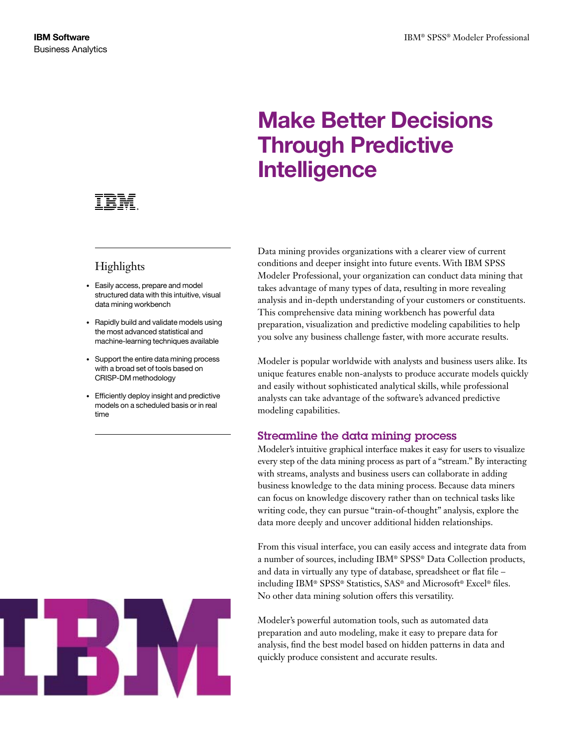## Make Better Decisions Through Predictive **Intelligence**

# Highlights

- • Easily access, prepare and model structured data with this intuitive, visual data mining workbench
- Rapidly build and validate models using the most advanced statistical and machine-learning techniques available
- • Support the entire data mining process with a broad set of tools based on CRISP-DM methodology
- • Efficiently deploy insight and predictive models on a scheduled basis or in real time



Data mining provides organizations with a clearer view of current conditions and deeper insight into future events. With IBM SPSS Modeler Professional, your organization can conduct data mining that takes advantage of many types of data, resulting in more revealing analysis and in-depth understanding of your customers or constituents. This comprehensive data mining workbench has powerful data preparation, visualization and predictive modeling capabilities to help you solve any business challenge faster, with more accurate results.

Modeler is popular worldwide with analysts and business users alike. Its unique features enable non-analysts to produce accurate models quickly and easily without sophisticated analytical skills, while professional analysts can take advantage of the software's advanced predictive modeling capabilities.

## Streamline the data mining process

Modeler's intuitive graphical interface makes it easy for users to visualize every step of the data mining process as part of a "stream." By interacting with streams, analysts and business users can collaborate in adding business knowledge to the data mining process. Because data miners can focus on knowledge discovery rather than on technical tasks like writing code, they can pursue "train-of-thought" analysis, explore the data more deeply and uncover additional hidden relationships.

From this visual interface, you can easily access and integrate data from a number of sources, including IBM® SPSS® Data Collection products, and data in virtually any type of database, spreadsheet or flat file – including IBM® SPSS® Statistics, SAS® and Microsoft® Excel® files. No other data mining solution offers this versatility.

Modeler's powerful automation tools, such as automated data preparation and auto modeling, make it easy to prepare data for analysis, find the best model based on hidden patterns in data and quickly produce consistent and accurate results.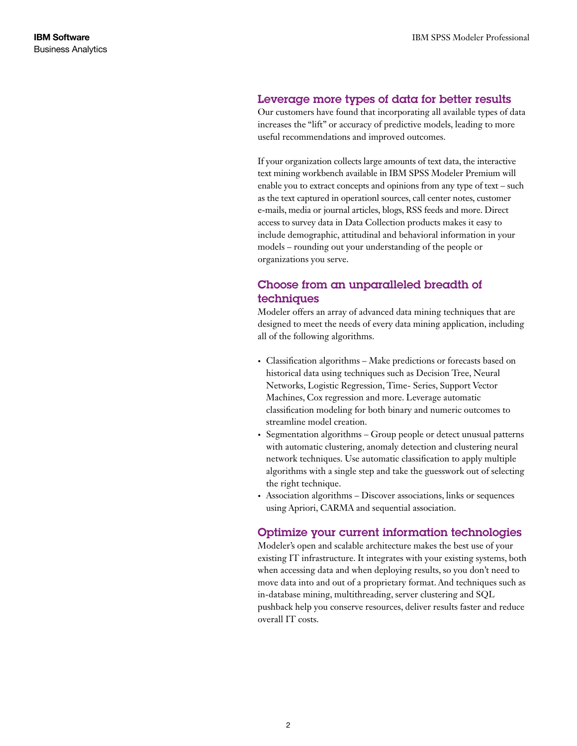## Leverage more types of data for better results

Our customers have found that incorporating all available types of data increases the "lift" or accuracy of predictive models, leading to more useful recommendations and improved outcomes.

If your organization collects large amounts of text data, the interactive text mining workbench available in IBM SPSS Modeler Premium will enable you to extract concepts and opinions from any type of text – such as the text captured in operationl sources, call center notes, customer e-mails, media or journal articles, blogs, RSS feeds and more. Direct access to survey data in Data Collection products makes it easy to include demographic, attitudinal and behavioral information in your models – rounding out your understanding of the people or organizations you serve.

## Choose from an unparalleled breadth of techniques

Modeler offers an array of advanced data mining techniques that are designed to meet the needs of every data mining application, including all of the following algorithms.

- Classification algorithms Make predictions or forecasts based on historical data using techniques such as Decision Tree, Neural Networks, Logistic Regression, Time- Series, Support Vector Machines, Cox regression and more. Leverage automatic classification modeling for both binary and numeric outcomes to streamline model creation.
- Segmentation algorithms Group people or detect unusual patterns with automatic clustering, anomaly detection and clustering neural network techniques. Use automatic classification to apply multiple algorithms with a single step and take the guesswork out of selecting the right technique.
- Association algorithms Discover associations, links or sequences using Apriori, CARMA and sequential association.

## Optimize your current information technologies

Modeler's open and scalable architecture makes the best use of your existing IT infrastructure. It integrates with your existing systems, both when accessing data and when deploying results, so you don't need to move data into and out of a proprietary format. And techniques such as in-database mining, multithreading, server clustering and SQL pushback help you conserve resources, deliver results faster and reduce overall IT costs.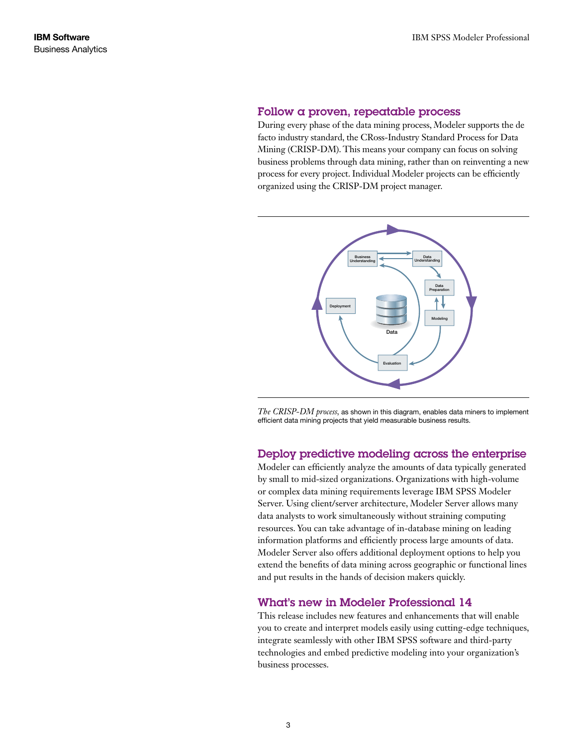#### Follow a proven, repeatable process

During every phase of the data mining process, Modeler supports the de facto industry standard, the CRoss-Industry Standard Process for Data Mining (CRISP-DM). This means your company can focus on solving business problems through data mining, rather than on reinventing a new process for every project. Individual Modeler projects can be efficiently organized using the CRISP-DM project manager.



*The CRISP-DM process,* as shown in this diagram, enables data miners to implement efficient data mining projects that yield measurable business results.

## Deploy predictive modeling across the enterprise

Modeler can efficiently analyze the amounts of data typically generated by small to mid-sized organizations. Organizations with high-volume or complex data mining requirements leverage IBM SPSS Modeler Server. Using client/server architecture, Modeler Server allows many data analysts to work simultaneously without straining computing resources. You can take advantage of in-database mining on leading information platforms and efficiently process large amounts of data. Modeler Server also offers additional deployment options to help you extend the benefits of data mining across geographic or functional lines and put results in the hands of decision makers quickly.

## What's new in Modeler Professional 14

This release includes new features and enhancements that will enable you to create and interpret models easily using cutting-edge techniques, integrate seamlessly with other IBM SPSS software and third-party technologies and embed predictive modeling into your organization's business processes.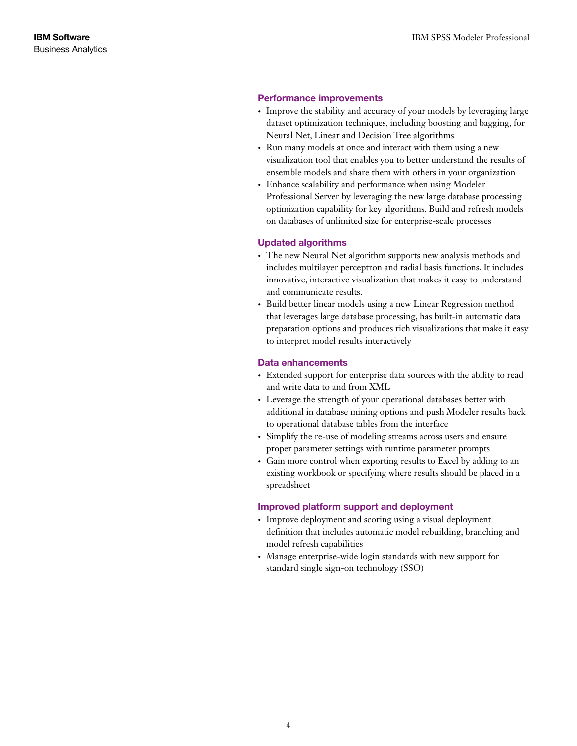#### Performance improvements

- Improve the stability and accuracy of your models by leveraging large dataset optimization techniques, including boosting and bagging, for Neural Net, Linear and Decision Tree algorithms
- Run many models at once and interact with them using a new visualization tool that enables you to better understand the results of ensemble models and share them with others in your organization
- Enhance scalability and performance when using Modeler Professional Server by leveraging the new large database processing optimization capability for key algorithms. Build and refresh models on databases of unlimited size for enterprise-scale processes

#### Updated algorithms

- The new Neural Net algorithm supports new analysis methods and includes multilayer perceptron and radial basis functions. It includes innovative, interactive visualization that makes it easy to understand and communicate results.
- • Build better linear models using a new Linear Regression method that leverages large database processing, has built-in automatic data preparation options and produces rich visualizations that make it easy to interpret model results interactively

#### Data enhancements

- Extended support for enterprise data sources with the ability to read and write data to and from XML
- • Leverage the strength of your operational databases better with additional in database mining options and push Modeler results back to operational database tables from the interface
- Simplify the re-use of modeling streams across users and ensure proper parameter settings with runtime parameter prompts
- Gain more control when exporting results to Excel by adding to an existing workbook or specifying where results should be placed in a spreadsheet

#### Improved platform support and deployment

- Improve deployment and scoring using a visual deployment definition that includes automatic model rebuilding, branching and model refresh capabilities
- Manage enterprise-wide login standards with new support for standard single sign-on technology (SSO)